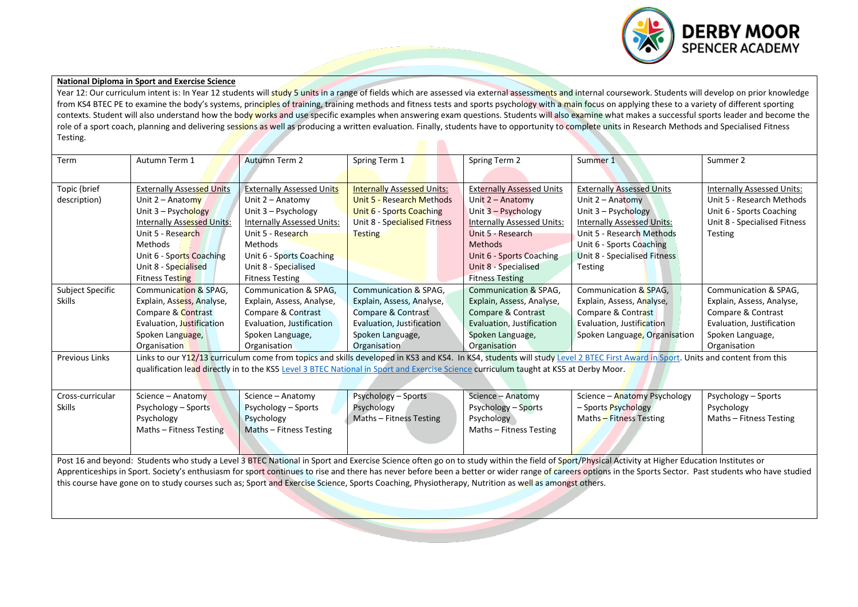

## **National Diploma in Sport and Exercise Science**

Year 12: Our curriculum intent is: In Year 12 students will study 5 units in a range of fields which are assessed via external assessments and internal coursework. Students will develop on prior knowledge from KS4 BTEC PE to examine the body's systems, principles of training, training methods and fitness tests and sports psychology with a main focus on applying these to a variety of different sporting contexts. Student will also understand how the body works and use specific examples when answering exam questions. Students will also examine what makes a successful sports leader and become the role of a sport coach, planning and delivering sessions as well as producing a written evaluation. Finally, students have to opportunity to complete units in Research Methods and Specialised Fitness Testing.  $\blacksquare$ 

| Term                  | Autumn Term 1                                                                                                                                                                                                                                                                                                                                                                                                 | <b>Autumn Term 2</b>              | Spring Term 1                                                                                                                                       | Spring Term 2                     | Summer 1                                                                                                                                                                        | Summer 2                     |  |  |  |
|-----------------------|---------------------------------------------------------------------------------------------------------------------------------------------------------------------------------------------------------------------------------------------------------------------------------------------------------------------------------------------------------------------------------------------------------------|-----------------------------------|-----------------------------------------------------------------------------------------------------------------------------------------------------|-----------------------------------|---------------------------------------------------------------------------------------------------------------------------------------------------------------------------------|------------------------------|--|--|--|
|                       |                                                                                                                                                                                                                                                                                                                                                                                                               |                                   |                                                                                                                                                     |                                   |                                                                                                                                                                                 |                              |  |  |  |
| Topic (brief          | <b>Externally Assessed Units</b>                                                                                                                                                                                                                                                                                                                                                                              | <b>Externally Assessed Units</b>  | <b>Internally Assessed Units:</b>                                                                                                                   | <b>Externally Assessed Units</b>  | <b>Externally Assessed Units</b>                                                                                                                                                | Internally Assessed Units:   |  |  |  |
| description)          | Unit $2 -$ Anatomy                                                                                                                                                                                                                                                                                                                                                                                            | Unit $2 -$ Anatomy                | <b>Unit 5 - Research Methods</b>                                                                                                                    | Unit $2 -$ Anatomy                | Unit $2 -$ Anatomy                                                                                                                                                              | Unit 5 - Research Methods    |  |  |  |
|                       | Unit $3 -$ Psychology                                                                                                                                                                                                                                                                                                                                                                                         | Unit 3 - Psychology               | Unit 6 - Sports Coaching                                                                                                                            | Unit 3 - Psychology               | Unit $3 -$ Psychology                                                                                                                                                           | Unit 6 - Sports Coaching     |  |  |  |
|                       | Internally Assessed Units:                                                                                                                                                                                                                                                                                                                                                                                    | <b>Internally Assessed Units:</b> | Unit 8 - Specialised Fitness                                                                                                                        | <b>Internally Assessed Units:</b> | <b>Internally Assessed Units:</b>                                                                                                                                               | Unit 8 - Specialised Fitness |  |  |  |
|                       | Unit 5 - Research                                                                                                                                                                                                                                                                                                                                                                                             | Unit 5 - Research                 | <b>Testing</b>                                                                                                                                      | Unit 5 - Research                 | Unit 5 - Research Methods                                                                                                                                                       | <b>Testing</b>               |  |  |  |
|                       | Methods                                                                                                                                                                                                                                                                                                                                                                                                       | Methods                           |                                                                                                                                                     | <b>Methods</b>                    | Unit 6 - Sports Coaching                                                                                                                                                        |                              |  |  |  |
|                       | Unit 6 - Sports Coaching                                                                                                                                                                                                                                                                                                                                                                                      | Unit 6 - Sports Coaching          |                                                                                                                                                     | Unit 6 - Sports Coaching          | Unit 8 - Specialised Fitness                                                                                                                                                    |                              |  |  |  |
|                       | Unit 8 - Specialised                                                                                                                                                                                                                                                                                                                                                                                          | Unit 8 - Specialised              |                                                                                                                                                     | Unit 8 - Specialised              | <b>Testing</b>                                                                                                                                                                  |                              |  |  |  |
|                       | <b>Fitness Testing</b>                                                                                                                                                                                                                                                                                                                                                                                        | <b>Fitness Testing</b>            |                                                                                                                                                     | <b>Fitness Testing</b>            |                                                                                                                                                                                 |                              |  |  |  |
| Subject Specific      | Communication & SPAG.                                                                                                                                                                                                                                                                                                                                                                                         | <b>Communication &amp; SPAG.</b>  | Communication & SPAG,                                                                                                                               | <b>Communication &amp; SPAG,</b>  | Communication & SPAG,                                                                                                                                                           | Communication & SPAG,        |  |  |  |
| <b>Skills</b>         | Explain, Assess, Analyse,                                                                                                                                                                                                                                                                                                                                                                                     | Explain, Assess, Analyse,         | Explain, Assess, Analyse,                                                                                                                           | Explain, Assess, Analyse,         | Explain, Assess, Analyse,                                                                                                                                                       | Explain, Assess, Analyse,    |  |  |  |
|                       | Compare & Contrast                                                                                                                                                                                                                                                                                                                                                                                            | Compare & Contrast                | Compare & Contrast                                                                                                                                  | Compare & Contrast                | Compare & Contrast                                                                                                                                                              | Compare & Contrast           |  |  |  |
|                       | Evaluation, Justification                                                                                                                                                                                                                                                                                                                                                                                     | Evaluation, Justification         | Evaluation, Justification                                                                                                                           | Evaluation, Justification         | Evaluation, Justification                                                                                                                                                       | Evaluation, Justification    |  |  |  |
|                       | Spoken Language,                                                                                                                                                                                                                                                                                                                                                                                              | Spoken Language,                  | Spoken Language,                                                                                                                                    | Spoken Language,                  | Spoken Language, Organisation                                                                                                                                                   | Spoken Language,             |  |  |  |
|                       | Organisation                                                                                                                                                                                                                                                                                                                                                                                                  | Organisation                      | Organisation                                                                                                                                        | Organisation                      |                                                                                                                                                                                 | Organisation                 |  |  |  |
| <b>Previous Links</b> |                                                                                                                                                                                                                                                                                                                                                                                                               |                                   |                                                                                                                                                     |                                   | Links to our Y12/13 curriculum come from topics and skills developed in KS3 and KS4. In KS4, students will study Level 2 BTEC First Award in Sport. Units and content from this |                              |  |  |  |
|                       |                                                                                                                                                                                                                                                                                                                                                                                                               |                                   | qualification lead directly in to the KS5 Level 3 BTEC National in Sport and Exercise Science curriculum taught at KS5 at Derby Moor.               |                                   |                                                                                                                                                                                 |                              |  |  |  |
|                       |                                                                                                                                                                                                                                                                                                                                                                                                               |                                   |                                                                                                                                                     |                                   |                                                                                                                                                                                 |                              |  |  |  |
|                       |                                                                                                                                                                                                                                                                                                                                                                                                               |                                   |                                                                                                                                                     |                                   |                                                                                                                                                                                 |                              |  |  |  |
| Cross-curricular      | Science $-$ Anatomy                                                                                                                                                                                                                                                                                                                                                                                           | Science - Anatomy                 | <b>Psychology - Sports</b>                                                                                                                          | Science - Anatomy                 | Science - Anatomy Psychology                                                                                                                                                    | Psychology - Sports          |  |  |  |
| <b>Skills</b>         | Psychology - Sports                                                                                                                                                                                                                                                                                                                                                                                           | Psychology – Sports               | Psychology                                                                                                                                          | Psychology – Sports               | - Sports Psychology                                                                                                                                                             | Psychology                   |  |  |  |
|                       | Psychology                                                                                                                                                                                                                                                                                                                                                                                                    | Psychology                        | Maths - Fitness Testing                                                                                                                             | Psychology                        | Maths - Fitness Testing                                                                                                                                                         | Maths - Fitness Testing      |  |  |  |
|                       | Maths - Fitness Testing                                                                                                                                                                                                                                                                                                                                                                                       | Maths - Fitness Testing           |                                                                                                                                                     | Maths - Fitness Testing           |                                                                                                                                                                                 |                              |  |  |  |
|                       |                                                                                                                                                                                                                                                                                                                                                                                                               |                                   |                                                                                                                                                     |                                   |                                                                                                                                                                                 |                              |  |  |  |
|                       |                                                                                                                                                                                                                                                                                                                                                                                                               |                                   |                                                                                                                                                     |                                   |                                                                                                                                                                                 |                              |  |  |  |
|                       | Post 16 and beyond: Students who study a Level 3 BTEC National in Sport and Exercise Science often go on to study within the field of Sport/Physical Activity at Higher Education Institutes or<br>Apprenticeships in Sport. Society's enthusiasm for sport continues to rise and there has never before been a better or wider range of careers options in the Sports Sector. Past students who have studied |                                   |                                                                                                                                                     |                                   |                                                                                                                                                                                 |                              |  |  |  |
|                       |                                                                                                                                                                                                                                                                                                                                                                                                               |                                   | this course have gone on to study courses such as; Sport and Exercise Science, Sports Coaching, Physiotherapy, Nutrition as well as amongst others. |                                   |                                                                                                                                                                                 |                              |  |  |  |
|                       |                                                                                                                                                                                                                                                                                                                                                                                                               |                                   |                                                                                                                                                     |                                   |                                                                                                                                                                                 |                              |  |  |  |
|                       |                                                                                                                                                                                                                                                                                                                                                                                                               |                                   |                                                                                                                                                     |                                   |                                                                                                                                                                                 |                              |  |  |  |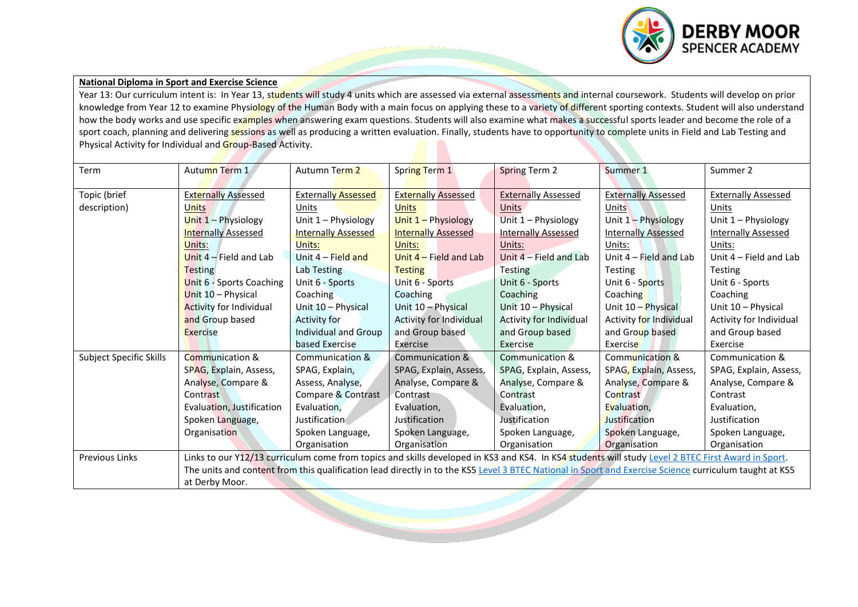

## **National Diploma in Sport and Exercise Science**

Year 13: Our curriculum intent is: In Year 13, students will study 4 units which are assessed via external assessments and internal coursework. Students will develop on prior knowledge from Year 12 to examine Physiology of the Human Body with a main focus on applying these to a variety of different sporting contexts. Student will also understand how the body works and use specific examples when answering exam questions. Students will also examine what makes a successful sports leader and become the role of a sport coach, planning and delivering sessions as well as producing a written evaluation. Finally, students have to opportunity to complete units in Field and Lab Testing and Physical Activity for Individual and Group-Based Activity.

| Term                    | Autumn Term 1                                                                                                                                      | Autumn Term 2              | Spring Term 1                  | <b>Spring Term 2</b>           | Summer 1                                                                                                                                               | Summer 2                   |
|-------------------------|----------------------------------------------------------------------------------------------------------------------------------------------------|----------------------------|--------------------------------|--------------------------------|--------------------------------------------------------------------------------------------------------------------------------------------------------|----------------------------|
| Topic (brief            | <b>Externally Assessed</b>                                                                                                                         | <b>Externally Assessed</b> | <b>Externally Assessed</b>     | <b>Externally Assessed</b>     | <b>Externally Assessed</b>                                                                                                                             | <b>Externally Assessed</b> |
| description)            | <b>Units</b>                                                                                                                                       | Units                      | Units                          | <b>Units</b>                   | <b>Units</b>                                                                                                                                           | Units                      |
|                         | Unit $1 -$ Physiology                                                                                                                              | Unit 1 - Physiology        | Unit 1 - Physiology            | Unit 1 - Physiology            | Unit $1 -$ Physiology                                                                                                                                  | Unit 1 - Physiology        |
|                         | <b>Internally Assessed</b>                                                                                                                         | <b>Internally Assessed</b> | <b>Internally Assessed</b>     | <b>Internally Assessed</b>     | <b>Internally Assessed</b>                                                                                                                             | <b>Internally Assessed</b> |
|                         | Units:                                                                                                                                             | Units:                     | Units:                         | Units:                         | Units:                                                                                                                                                 | Units:                     |
|                         | Unit $4$ – Field and Lab                                                                                                                           | Unit $4$ – Field and       | Unit $4$ – Field and Lab       | Unit 4 - Field and Lab         | Unit $4$ – Field and Lab                                                                                                                               | Unit 4 - Field and Lab     |
|                         | <b>Testing</b>                                                                                                                                     | Lab Testing                | <b>Testing</b>                 | <b>Testing</b>                 | <b>Testing</b>                                                                                                                                         | <b>Testing</b>             |
|                         | Unit $6 -$ Sports Coaching                                                                                                                         | Unit 6 - Sports            | Unit 6 - Sports                | Unit 6 - Sports                | Unit 6 - Sports                                                                                                                                        | Unit 6 - Sports            |
|                         | Unit 10 - Physical                                                                                                                                 | Coaching                   | Coaching                       | Coaching                       | Coaching                                                                                                                                               | Coaching                   |
|                         | <b>Activity for Individual</b>                                                                                                                     | Unit 10 - Physical         | Unit 10 - Physical             | Unit 10 - Physical             | Unit 10 - Physical                                                                                                                                     | Unit 10 - Physical         |
|                         | and Group based                                                                                                                                    | <b>Activity for</b>        | <b>Activity for Individual</b> | <b>Activity for Individual</b> | Activity for Individual                                                                                                                                | Activity for Individual    |
|                         | Exercise                                                                                                                                           | Individual and Group       | and Group based                | and Group based                | and Group based                                                                                                                                        | and Group based            |
|                         |                                                                                                                                                    | based Exercise             | Exercise                       | Exercise                       | Exercise                                                                                                                                               | Exercise                   |
| Subject Specific Skills | <b>Communication &amp;</b>                                                                                                                         | Communication &            | Communication &                | <b>Communication &amp;</b>     | Communication &                                                                                                                                        | Communication &            |
|                         | SPAG, Explain, Assess,                                                                                                                             | SPAG, Explain,             | SPAG, Explain, Assess,         | SPAG, Explain, Assess,         | SPAG, Explain, Assess,                                                                                                                                 | SPAG, Explain, Assess,     |
|                         | Analyse, Compare &                                                                                                                                 | Assess, Analyse,           | Analyse, Compare &             | Analyse, Compare &             | Analyse, Compare &                                                                                                                                     | Analyse, Compare &         |
|                         | Contrast                                                                                                                                           | Compare & Contrast         | Contrast                       | Contrast                       | Contrast                                                                                                                                               | Contrast                   |
|                         | Evaluation, Justification                                                                                                                          | Evaluation,                | Evaluation,                    | Evaluation,                    | Evaluation,                                                                                                                                            | Evaluation,                |
|                         | Spoken Language,                                                                                                                                   | Justification              | Justification                  | Justification                  | Justification                                                                                                                                          | Justification              |
|                         | Organisation                                                                                                                                       | Spoken Language,           | Spoken Language,               | Spoken Language,               | Spoken Language,                                                                                                                                       | Spoken Language,           |
|                         |                                                                                                                                                    | Organisation               | Organisation                   | Organisation                   | Organisation                                                                                                                                           | Organisation               |
| <b>Previous Links</b>   | Links to our Y12/13 curriculum come from topics and skills developed in KS3 and KS4. In KS4 students will study Level 2 BTEC First Award in Sport. |                            |                                |                                |                                                                                                                                                        |                            |
|                         |                                                                                                                                                    |                            |                                |                                | The units and content from this qualification lead directly in to the KS5 Level 3 BTEC National in Sport and Exercise Science curriculum taught at KS5 |                            |
|                         | at Derby Moor.                                                                                                                                     |                            |                                |                                |                                                                                                                                                        |                            |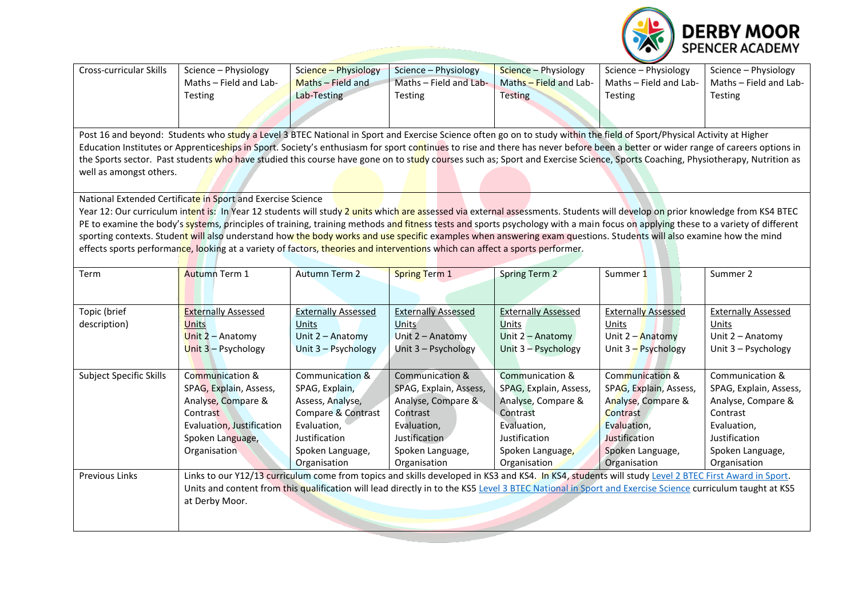

| <b>Cross-curricular Skills</b>                                                                                                                                          | Science - Physiology                                                                                                                                                             | Science - Physiology       | Science - Physiology       | Science - Physiology       | Science - Physiology       | Science - Physiology       |  |  |  |
|-------------------------------------------------------------------------------------------------------------------------------------------------------------------------|----------------------------------------------------------------------------------------------------------------------------------------------------------------------------------|----------------------------|----------------------------|----------------------------|----------------------------|----------------------------|--|--|--|
|                                                                                                                                                                         | Maths - Field and Lab-                                                                                                                                                           | Maths - Field and          | Maths - Field and Lab-     | Maths - Field and Lab-     | Maths - Field and Lab-     | Maths - Field and Lab-     |  |  |  |
|                                                                                                                                                                         | Testing                                                                                                                                                                          | Lab-Testing                | Testing                    | <b>Testing</b>             | Testing                    | Testing                    |  |  |  |
|                                                                                                                                                                         |                                                                                                                                                                                  |                            |                            |                            |                            |                            |  |  |  |
|                                                                                                                                                                         |                                                                                                                                                                                  |                            |                            |                            |                            |                            |  |  |  |
| Post 16 and beyond: Students who study a Level 3 BTEC National in Sport and Exercise Science often go on to study within the field of Sport/Physical Activity at Higher |                                                                                                                                                                                  |                            |                            |                            |                            |                            |  |  |  |
|                                                                                                                                                                         | Education Institutes or Apprenticeships in Sport. Society's enthusiasm for sport continues to rise and there has never before been a better or wider range of careers options in |                            |                            |                            |                            |                            |  |  |  |
|                                                                                                                                                                         | the Sports sector. Past students who have studied this course have gone on to study courses such as; Sport and Exercise Science, Sports Coaching, Physiotherapy, Nutrition as    |                            |                            |                            |                            |                            |  |  |  |
| well as amongst others.                                                                                                                                                 |                                                                                                                                                                                  |                            |                            |                            |                            |                            |  |  |  |
|                                                                                                                                                                         |                                                                                                                                                                                  |                            |                            |                            |                            |                            |  |  |  |
|                                                                                                                                                                         | National Extended Certificate in Sport and Exercise Science                                                                                                                      |                            |                            |                            |                            |                            |  |  |  |
|                                                                                                                                                                         | Year 12: Our curriculum intent is: In Year 12 students will study 2 units which are assessed via external assessments. Students will develop on prior knowledge from KS4 BTEC    |                            |                            |                            |                            |                            |  |  |  |
|                                                                                                                                                                         | PE to examine the body's systems, principles of training, training methods and fitness tests and sports psychology with a main focus on applying these to a variety of different |                            |                            |                            |                            |                            |  |  |  |
|                                                                                                                                                                         | sporting contexts. Student will also understand how the body works and use specific examples when answering exam questions. Students will also examine how the mind              |                            |                            |                            |                            |                            |  |  |  |
|                                                                                                                                                                         | effects sports performance, looking at a variety of factors, theories and interventions which can affect a sports performer.                                                     |                            |                            |                            |                            |                            |  |  |  |
|                                                                                                                                                                         |                                                                                                                                                                                  |                            |                            |                            |                            |                            |  |  |  |
| Term                                                                                                                                                                    | <b>Autumn Term 1</b>                                                                                                                                                             | <b>Autumn Term 2</b>       | <b>Spring Term 1</b>       | <b>Spring Term 2</b>       | Summer 1                   | Summer 2                   |  |  |  |
|                                                                                                                                                                         |                                                                                                                                                                                  |                            |                            |                            |                            |                            |  |  |  |
|                                                                                                                                                                         |                                                                                                                                                                                  |                            |                            |                            |                            |                            |  |  |  |
| Topic (brief                                                                                                                                                            | <b>Externally Assessed</b>                                                                                                                                                       | <b>Externally Assessed</b> | <b>Externally Assessed</b> | <b>Externally Assessed</b> | <b>Externally Assessed</b> | <b>Externally Assessed</b> |  |  |  |
| description)                                                                                                                                                            | <b>Units</b>                                                                                                                                                                     | Units                      | <b>Units</b>               | Units                      | Units                      | Units                      |  |  |  |
|                                                                                                                                                                         | Unit $2 -$ Anatomy                                                                                                                                                               | Unit 2 - Anatomy           | Unit 2 - Anatomy           | Unit 2 - Anatomy           | Unit $2 -$ Anatomy         | Unit 2 - Anatomy           |  |  |  |
|                                                                                                                                                                         | Unit $3 -$ Psychology                                                                                                                                                            | Unit 3 - Psychology        | Unit 3 - Psychology        | Unit 3 - Psychology        | Unit 3 - Psychology        | Unit 3 - Psychology        |  |  |  |
|                                                                                                                                                                         |                                                                                                                                                                                  |                            |                            |                            |                            |                            |  |  |  |
| Subject Specific Skills                                                                                                                                                 | Communication &                                                                                                                                                                  | Communication &            | Communication &            | Communication &            | Communication &            | Communication &            |  |  |  |
|                                                                                                                                                                         | SPAG, Explain, Assess,                                                                                                                                                           | SPAG, Explain,             | SPAG, Explain, Assess,     | SPAG, Explain, Assess,     | SPAG, Explain, Assess,     | SPAG, Explain, Assess,     |  |  |  |
|                                                                                                                                                                         | Analyse, Compare &                                                                                                                                                               | Assess, Analyse,           | Analyse, Compare &         | Analyse, Compare &         | Analyse, Compare &         | Analyse, Compare &         |  |  |  |
|                                                                                                                                                                         | Contrast                                                                                                                                                                         | Compare & Contrast         | Contrast                   | Contrast                   | Contrast                   | Contrast                   |  |  |  |
|                                                                                                                                                                         | Evaluation, Justification                                                                                                                                                        | Evaluation,                | Evaluation,                | Evaluation,                | Evaluation,                | Evaluation,                |  |  |  |
|                                                                                                                                                                         | Spoken Language,                                                                                                                                                                 | Justification              | Justification              | Justification              | Justification              | Justification              |  |  |  |
|                                                                                                                                                                         | Organisation                                                                                                                                                                     | Spoken Language,           | Spoken Language,           | Spoken Language,           | Spoken Language,           | Spoken Language,           |  |  |  |
|                                                                                                                                                                         |                                                                                                                                                                                  | Organisation               | Organisation               | Organisation               | Organisation               | Organisation               |  |  |  |
| Previous Links                                                                                                                                                          | Links to our Y12/13 curriculum come from topics and skills developed in KS3 and KS4. In KS4, students will study Level 2 BTEC First Award in Sport.                              |                            |                            |                            |                            |                            |  |  |  |
|                                                                                                                                                                         | Units and content from this qualification will lead directly in to the KS5 Level 3 BTEC National in Sport and Exercise Science curriculum taught at KS5                          |                            |                            |                            |                            |                            |  |  |  |
|                                                                                                                                                                         | at Derby Moor.                                                                                                                                                                   |                            |                            |                            |                            |                            |  |  |  |
|                                                                                                                                                                         |                                                                                                                                                                                  |                            |                            |                            |                            |                            |  |  |  |
|                                                                                                                                                                         |                                                                                                                                                                                  |                            |                            |                            |                            |                            |  |  |  |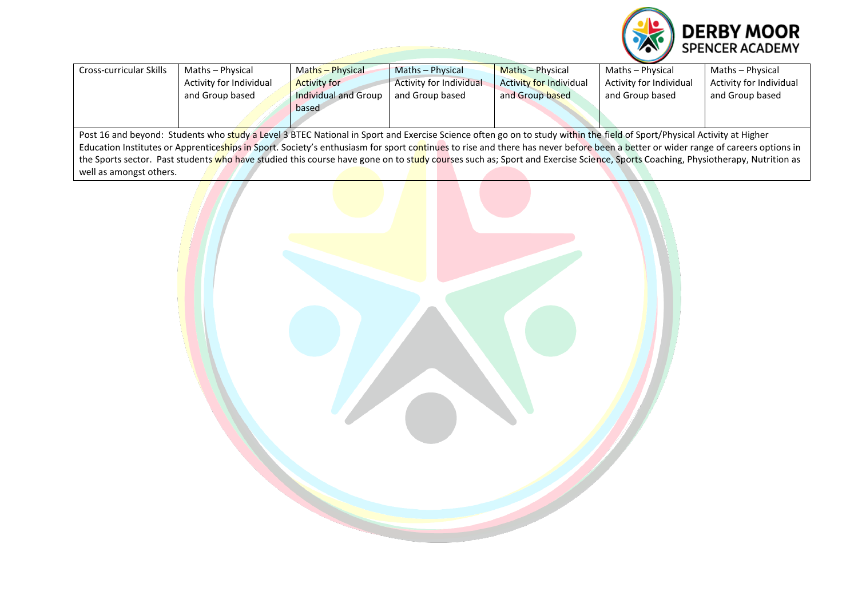

| Cross-curricular Skills                                                                                                                                                          | Maths - Physical        | Maths - Physical            | Maths - Physical               | Maths - Physical               | Maths - Physical        | Maths - Physical        |  |
|----------------------------------------------------------------------------------------------------------------------------------------------------------------------------------|-------------------------|-----------------------------|--------------------------------|--------------------------------|-------------------------|-------------------------|--|
|                                                                                                                                                                                  | Activity for Individual | <b>Activity for</b>         | <b>Activity for Individual</b> | <b>Activity for Individual</b> | Activity for Individual | Activity for Individual |  |
|                                                                                                                                                                                  | and Group based         | <b>Individual and Group</b> | and Group based                | and Group based                | and Group based         | and Group based         |  |
|                                                                                                                                                                                  |                         | based                       |                                |                                |                         |                         |  |
|                                                                                                                                                                                  |                         |                             |                                |                                |                         |                         |  |
| Post 16 and beyond: Students who study a Level 3 BTEC National in Sport and Exercise Science often go on to study within the field of Sport/Physical Activity at Higher          |                         |                             |                                |                                |                         |                         |  |
| Education Institutes or Apprenticeships in Sport. Society's enthusiasm for sport continues to rise and there has never before been a better or wider range of careers options in |                         |                             |                                |                                |                         |                         |  |
| the Sports sector. Past students who have studied this course have gone on to study courses such as; Sport and Exercise Science, Sports Coaching, Physiotherapy, Nutrition as    |                         |                             |                                |                                |                         |                         |  |
| well as amongst others.                                                                                                                                                          |                         |                             |                                |                                |                         |                         |  |

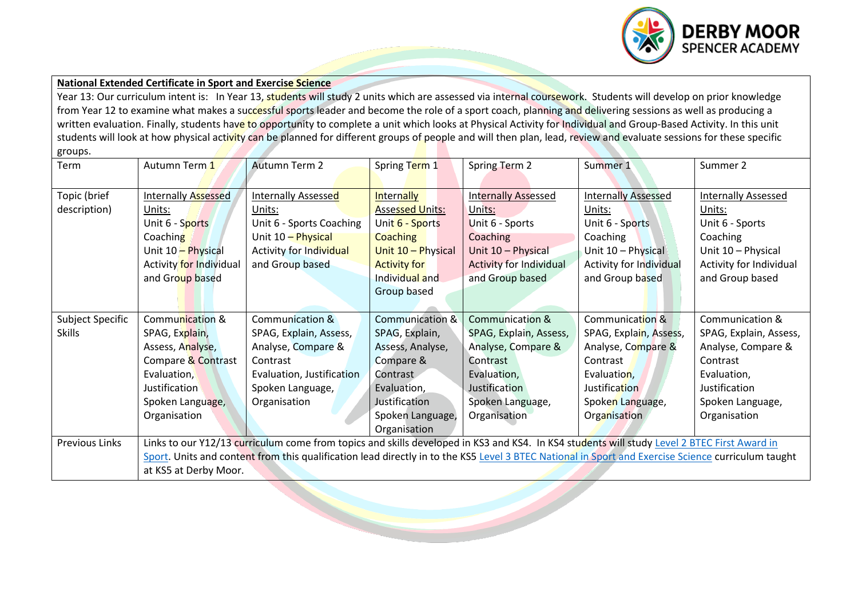

## **National Extended Certificate in Sport and Exercise Science**

Year 13: Our curriculum intent is: In Year 13, students will study 2 units which are assessed via internal coursework. Students will develop on prior knowledge from Year 12 to examine what makes a successful sports leader and become the role of a sport coach, planning and delivering sessions as well as producing a written evaluation. Finally, students have to opportunity to complete a unit which looks at Physical Activity for Individual and Group-Based Activity. In this unit students will look at how physical activity can be planned for different groups of people and will then plan, lead, review and evaluate sessions for these specific groups.

| Term                  | Autumn Term 1           | <b>Autumn Term 2</b>                                                                                                                               | Spring Term 1          | Spring Term 2                  | Summer 1                       | Summer 2                   |  |  |
|-----------------------|-------------------------|----------------------------------------------------------------------------------------------------------------------------------------------------|------------------------|--------------------------------|--------------------------------|----------------------------|--|--|
|                       |                         |                                                                                                                                                    |                        |                                |                                |                            |  |  |
| Topic (brief          | Internally Assessed     | Internally Assessed                                                                                                                                | <b>Internally</b>      | <b>Internally Assessed</b>     | <b>Internally Assessed</b>     | <b>Internally Assessed</b> |  |  |
| description)          | Units:                  | Units:                                                                                                                                             | <b>Assessed Units:</b> | Units:                         | Units:                         | Units:                     |  |  |
|                       | Unit 6 - Sports         | Unit 6 - Sports Coaching                                                                                                                           | Unit 6 - Sports        | Unit 6 - Sports                | Unit 6 - Sports                | Unit 6 - Sports            |  |  |
|                       | Coaching                | Unit 10 - Physical                                                                                                                                 | <b>Coaching</b>        | Coaching                       | Coaching                       | Coaching                   |  |  |
|                       | Unit 10 - Physical      | Activity for Individual                                                                                                                            | Unit 10 - Physical     | Unit 10 - Physical             | Unit 10 - Physical             | Unit 10 - Physical         |  |  |
|                       | Activity for Individual | and Group based                                                                                                                                    | <b>Activity for</b>    | <b>Activity for Individual</b> | <b>Activity for Individual</b> | Activity for Individual    |  |  |
|                       | and Group based         |                                                                                                                                                    | Individual and         | and Group based                | and Group based                | and Group based            |  |  |
|                       |                         |                                                                                                                                                    | Group based            |                                |                                |                            |  |  |
|                       |                         |                                                                                                                                                    |                        |                                |                                |                            |  |  |
| Subject Specific      | Communication &         | Communication &                                                                                                                                    | Communication &        | <b>Communication &amp;</b>     | Communication &                | Communication &            |  |  |
| <b>Skills</b>         | SPAG, Explain,          | SPAG, Explain, Assess,                                                                                                                             | SPAG, Explain,         | SPAG, Explain, Assess,         | SPAG, Explain, Assess,         | SPAG, Explain, Assess,     |  |  |
|                       | Assess, Analyse,        | Analyse, Compare &                                                                                                                                 | Assess, Analyse,       | Analyse, Compare &             | Analyse, Compare &             | Analyse, Compare &         |  |  |
|                       | Compare & Contrast      | Contrast                                                                                                                                           | Compare &              | Contrast                       | Contrast                       | Contrast                   |  |  |
|                       | Evaluation,             | Evaluation, Justification                                                                                                                          | Contrast               | Evaluation,                    | Evaluation,                    | Evaluation,                |  |  |
|                       | <b>Justification</b>    | Spoken Language,                                                                                                                                   | Evaluation,            | Justification                  | Justification                  | Justification              |  |  |
|                       | Spoken Language,        | Organisation                                                                                                                                       | Justification          | Spoken Language,               | Spoken Language,               | Spoken Language,           |  |  |
|                       | Organisation            |                                                                                                                                                    | Spoken Language,       | Organisation                   | Organisation                   | Organisation               |  |  |
|                       |                         |                                                                                                                                                    | Organisation           |                                |                                |                            |  |  |
| <b>Previous Links</b> |                         | Links to our Y12/13 curriculum come from topics and skills developed in KS3 and KS4. In KS4 students will study Level 2 BTEC First Award in        |                        |                                |                                |                            |  |  |
|                       |                         | Sport. Units and content from this qualification lead directly in to the KS5 Level 3 BTEC National in Sport and Exercise Science curriculum taught |                        |                                |                                |                            |  |  |
|                       | at KS5 at Derby Moor.   |                                                                                                                                                    |                        |                                |                                |                            |  |  |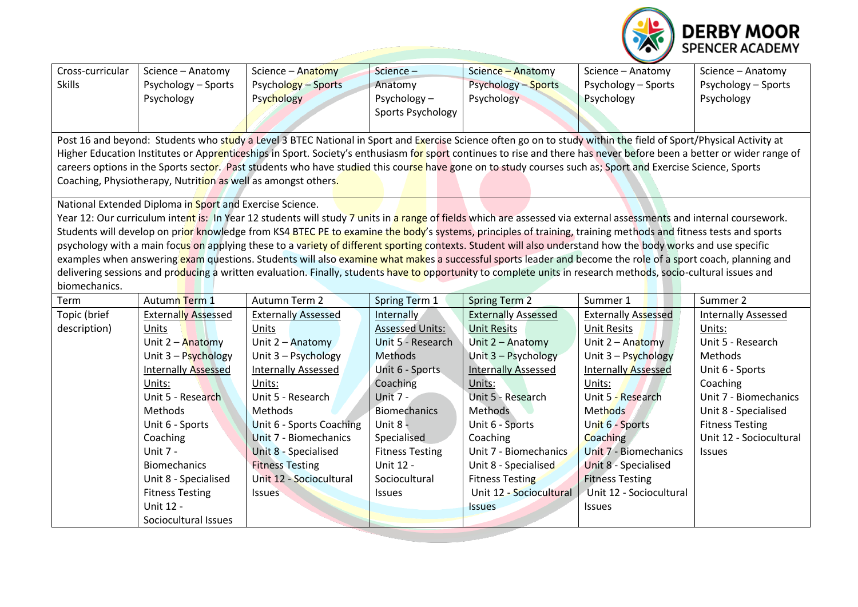

| Cross-curricular                                                                                                                                                 | Science - Anatomy                                             | Science - Anatomy                                                                                                                                                    | Science-               | Science - Anatomy          | Science - Anatomy                | Science - Anatomy          |  |  |  |
|------------------------------------------------------------------------------------------------------------------------------------------------------------------|---------------------------------------------------------------|----------------------------------------------------------------------------------------------------------------------------------------------------------------------|------------------------|----------------------------|----------------------------------|----------------------------|--|--|--|
| <b>Skills</b>                                                                                                                                                    | Psychology - Sports                                           | Psychology - Sports                                                                                                                                                  | Anatomy                | <b>Psychology - Sports</b> | Psychology - Sports              | Psychology - Sports        |  |  |  |
|                                                                                                                                                                  | Psychology                                                    | Psychology                                                                                                                                                           | Psychology-            | Psychology                 | Psychology                       | Psychology                 |  |  |  |
|                                                                                                                                                                  |                                                               |                                                                                                                                                                      | Sports Psychology      |                            |                                  |                            |  |  |  |
|                                                                                                                                                                  |                                                               |                                                                                                                                                                      |                        |                            |                                  |                            |  |  |  |
| Post 16 and beyond: Students who study a Level 3 BTEC National in Sport and Exercise Science often go on to study within the field of Sport/Physical Activity at |                                                               |                                                                                                                                                                      |                        |                            |                                  |                            |  |  |  |
|                                                                                                                                                                  |                                                               | Higher Education Institutes or Apprenticeships in Sport. Society's enthusiasm for sport continues to rise and there has never before been a better or wider range of |                        |                            |                                  |                            |  |  |  |
|                                                                                                                                                                  |                                                               | careers options in the Sports sector. Past students who have studied this course have gone on to study courses such as; Sport and Exercise Science, Sports           |                        |                            |                                  |                            |  |  |  |
|                                                                                                                                                                  | Coaching, Physiotherapy, Nutrition as well as amongst others. |                                                                                                                                                                      |                        |                            |                                  |                            |  |  |  |
|                                                                                                                                                                  |                                                               |                                                                                                                                                                      |                        |                            |                                  |                            |  |  |  |
|                                                                                                                                                                  | National Extended Diploma in Sport and Exercise Science.      |                                                                                                                                                                      |                        |                            |                                  |                            |  |  |  |
|                                                                                                                                                                  |                                                               | Year 12: Our curriculum intent is: In Year 12 students will study 7 units in a range of fields which are assessed via external assessments and internal coursework.  |                        |                            |                                  |                            |  |  |  |
|                                                                                                                                                                  |                                                               | Students will develop on prior knowledge from KS4 BTEC PE to examine the body's systems, principles of training, training methods and fitness tests and sports       |                        |                            |                                  |                            |  |  |  |
|                                                                                                                                                                  |                                                               | psychology with a main focus on applying these to a variety of different sporting contexts. Student will also understand how the body works and use specific         |                        |                            |                                  |                            |  |  |  |
|                                                                                                                                                                  |                                                               | examples when answering exam questions. Students will also examine what makes a successful sports leader and become the role of a sport coach, planning and          |                        |                            |                                  |                            |  |  |  |
|                                                                                                                                                                  |                                                               | delivering sessions and producing a written evaluation. Finally, students have to opportunity to complete units in research methods, socio-cultural issues and       |                        |                            |                                  |                            |  |  |  |
| biomechanics.                                                                                                                                                    |                                                               |                                                                                                                                                                      |                        |                            |                                  |                            |  |  |  |
| Term                                                                                                                                                             | Autumn Term 1                                                 | Autumn Term 2                                                                                                                                                        | Spring Term 1          | Spring Term 2              | Summer 1                         | Summer 2                   |  |  |  |
| Topic (brief                                                                                                                                                     | <b>Externally Assessed</b>                                    | <b>Externally Assessed</b>                                                                                                                                           | Internally             | <b>Externally Assessed</b> | <b>Externally Assessed</b>       | <b>Internally Assessed</b> |  |  |  |
| description)                                                                                                                                                     | Units                                                         | Units                                                                                                                                                                | <b>Assessed Units:</b> | <b>Unit Resits</b>         | <b>Unit Resits</b>               | Units:                     |  |  |  |
|                                                                                                                                                                  | Unit $2 -$ Anatomy                                            | Unit 2 - Anatomy                                                                                                                                                     | Unit 5 - Research      | Unit 2 - Anatomy           | Unit 2 - Anatomy                 | Unit 5 - Research          |  |  |  |
|                                                                                                                                                                  | Unit $3 -$ Psychology                                         | Unit 3 - Psychology                                                                                                                                                  | <b>Methods</b>         | Unit 3 - Psychology        | Unit $3 - \frac{Pychology}{PyC}$ | Methods                    |  |  |  |
|                                                                                                                                                                  | <b>Internally Assessed</b>                                    | <b>Internally Assessed</b>                                                                                                                                           | Unit 6 - Sports        | <b>Internally Assessed</b> | <b>Internally Assessed</b>       | Unit 6 - Sports            |  |  |  |
|                                                                                                                                                                  | Units:                                                        | Units:                                                                                                                                                               | Coaching               | Units:                     | Units:                           | Coaching                   |  |  |  |
|                                                                                                                                                                  | Unit 5 - Research                                             | Unit 5 - Research                                                                                                                                                    | <b>Unit 7 -</b>        | Unit 5 - Research          | Unit 5 - Research                | Unit 7 - Biomechanics      |  |  |  |
|                                                                                                                                                                  | Methods                                                       | Methods                                                                                                                                                              | <b>Biomechanics</b>    | Methods                    | Methods                          | Unit 8 - Specialised       |  |  |  |
|                                                                                                                                                                  | Unit 6 - Sports                                               | Unit 6 - Sports Coaching                                                                                                                                             | Unit 8 -               | Unit 6 - Sports            | Unit 6 - Sports                  | <b>Fitness Testing</b>     |  |  |  |
|                                                                                                                                                                  | Coaching                                                      | Unit 7 - Biomechanics                                                                                                                                                | Specialised            | Coaching                   | Coaching                         | Unit 12 - Sociocultural    |  |  |  |
|                                                                                                                                                                  | Unit 7 -                                                      | Unit 8 - Specialised                                                                                                                                                 | <b>Fitness Testing</b> | Unit 7 - Biomechanics      | Unit 7 - Biomechanics            | <b>Issues</b>              |  |  |  |
|                                                                                                                                                                  | <b>Biomechanics</b>                                           | <b>Fitness Testing</b>                                                                                                                                               | Unit 12 -              | Unit 8 - Specialised       | Unit 8 - Specialised             |                            |  |  |  |
|                                                                                                                                                                  | Unit 8 - Specialised                                          | Unit 12 - Sociocultural                                                                                                                                              | Sociocultural          | <b>Fitness Testing</b>     | <b>Fitness Testing</b>           |                            |  |  |  |
|                                                                                                                                                                  | <b>Fitness Testing</b>                                        | <b>Issues</b>                                                                                                                                                        | Issues                 | Unit 12 - Sociocultural    | Unit 12 - Sociocultural          |                            |  |  |  |
|                                                                                                                                                                  | Unit 12 -                                                     |                                                                                                                                                                      |                        | <b>Issues</b>              | <b>Issues</b>                    |                            |  |  |  |
|                                                                                                                                                                  | Sociocultural Issues                                          |                                                                                                                                                                      |                        |                            |                                  |                            |  |  |  |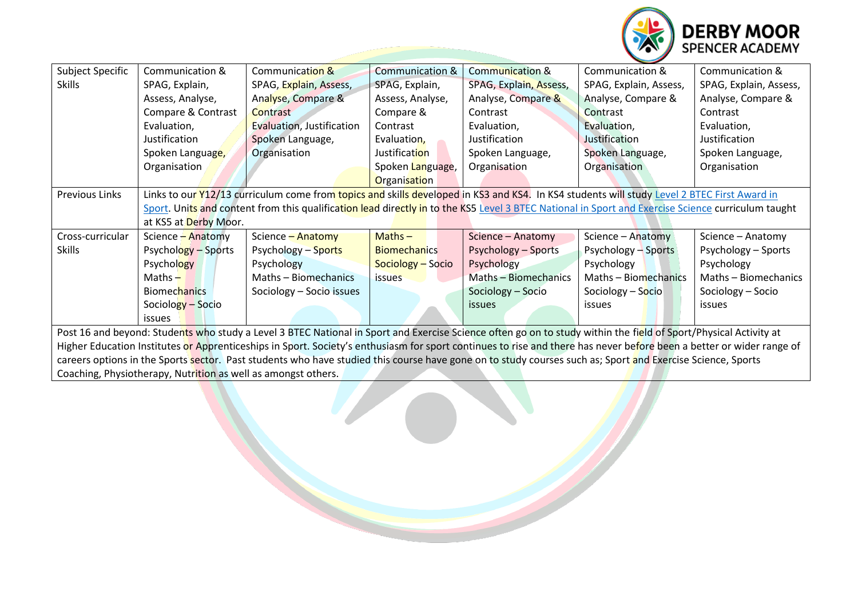

| <b>Subject Specific</b>                                                                                                                                              | Communication &                                                                                                                                                  | Communication &                                                                                                                                            | <b>Communication &amp;</b> | <b>Communication &amp;</b> | Communication &        | Communication &        |  |  |
|----------------------------------------------------------------------------------------------------------------------------------------------------------------------|------------------------------------------------------------------------------------------------------------------------------------------------------------------|------------------------------------------------------------------------------------------------------------------------------------------------------------|----------------------------|----------------------------|------------------------|------------------------|--|--|
| <b>Skills</b>                                                                                                                                                        | SPAG, Explain,                                                                                                                                                   | SPAG, Explain, Assess,                                                                                                                                     | SPAG, Explain,             | SPAG, Explain, Assess,     | SPAG, Explain, Assess, | SPAG, Explain, Assess, |  |  |
|                                                                                                                                                                      | Assess, Analyse,                                                                                                                                                 | Analyse, Compare &                                                                                                                                         | Assess, Analyse,           | Analyse, Compare &         | Analyse, Compare &     | Analyse, Compare &     |  |  |
|                                                                                                                                                                      | Compare & Contrast                                                                                                                                               | Contrast                                                                                                                                                   | Compare &                  | Contrast                   | Contrast               | Contrast               |  |  |
|                                                                                                                                                                      | Evaluation,                                                                                                                                                      | Evaluation, Justification                                                                                                                                  | Contrast                   | Evaluation,                | Evaluation,            | Evaluation,            |  |  |
|                                                                                                                                                                      | Justification                                                                                                                                                    | Spoken Language,                                                                                                                                           | Evaluation,                | Justification              | Justification          | Justification          |  |  |
|                                                                                                                                                                      | Spoken Language,                                                                                                                                                 | Organisation                                                                                                                                               | Justification              | Spoken Language,           | Spoken Language,       | Spoken Language,       |  |  |
|                                                                                                                                                                      | Organisation                                                                                                                                                     |                                                                                                                                                            | Spoken Language,           | Organisation               | Organisation           | Organisation           |  |  |
|                                                                                                                                                                      |                                                                                                                                                                  |                                                                                                                                                            | <b>Organisation</b>        |                            |                        |                        |  |  |
| <b>Previous Links</b>                                                                                                                                                | Links to our Y12/13 curriculum come from topics and skills developed in KS3 and KS4. In KS4 students will study Level 2 BTEC First Award in                      |                                                                                                                                                            |                            |                            |                        |                        |  |  |
|                                                                                                                                                                      |                                                                                                                                                                  | Sport. Units and content from this qualification lead directly in to the KS5 Level 3 BTEC National in Sport and Exercise Science curriculum taught         |                            |                            |                        |                        |  |  |
|                                                                                                                                                                      | at KS5 at Derby Moor.                                                                                                                                            |                                                                                                                                                            |                            |                            |                        |                        |  |  |
| Cross-curricular                                                                                                                                                     | Science - Anatomy                                                                                                                                                | Science - Anatomy                                                                                                                                          | $Maths -$                  | Science - Anatomy          | Science - Anatomy      | Science - Anatomy      |  |  |
| <b>Skills</b>                                                                                                                                                        | Psychology – Sports                                                                                                                                              | Psychology - Sports                                                                                                                                        | <b>Biomechanics</b>        | <b>Psychology - Sports</b> | Psychology - Sports    | Psychology - Sports    |  |  |
|                                                                                                                                                                      | <b>Psychology</b>                                                                                                                                                | Psychology                                                                                                                                                 | Sociology - Socio          | Psychology                 | Psychology             | Psychology             |  |  |
|                                                                                                                                                                      | Maths $-$                                                                                                                                                        | Maths - Biomechanics                                                                                                                                       | issues                     | Maths - Biomechanics       | Maths - Biomechanics   | Maths - Biomechanics   |  |  |
|                                                                                                                                                                      | <b>Biomechanics</b>                                                                                                                                              | Sociology - Socio issues                                                                                                                                   |                            | Sociology - Socio          | Sociology - Socio      | Sociology – Socio      |  |  |
|                                                                                                                                                                      | Sociology - Socio                                                                                                                                                |                                                                                                                                                            |                            | <i>issues</i>              | <i>issues</i>          | <i>issues</i>          |  |  |
|                                                                                                                                                                      | issues                                                                                                                                                           |                                                                                                                                                            |                            |                            |                        |                        |  |  |
|                                                                                                                                                                      | Post 16 and beyond: Students who study a Level 3 BTEC National in Sport and Exercise Science often go on to study within the field of Sport/Physical Activity at |                                                                                                                                                            |                            |                            |                        |                        |  |  |
| Higher Education Institutes or Apprenticeships in Sport. Society's enthusiasm for sport continues to rise and there has never before been a better or wider range of |                                                                                                                                                                  |                                                                                                                                                            |                            |                            |                        |                        |  |  |
|                                                                                                                                                                      |                                                                                                                                                                  | careers options in the Sports sector. Past students who have studied this course have gone on to study courses such as; Sport and Exercise Science, Sports |                            |                            |                        |                        |  |  |
| Coaching, Physiotherapy, Nutrition as well as amongst others.                                                                                                        |                                                                                                                                                                  |                                                                                                                                                            |                            |                            |                        |                        |  |  |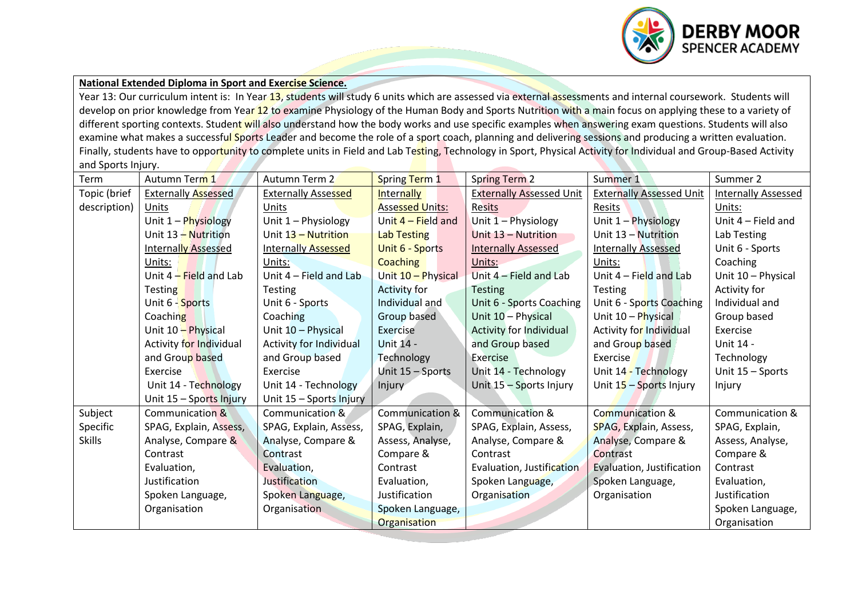

## **National Extended Diploma in Sport and Exercise Science.**

Year 13: Our curriculum intent is: In Year 13, students will study 6 units which are assessed via external assessments and internal coursework. Students will develop on prior knowledge from Year 12 to examine Physiology of the Human Body and Sports Nutrition with a main focus on applying these to a variety of different sporting contexts. Student will also understand how the body works and use specific examples when answering exam questions. Students will also examine what makes a successful Sports Leader and become the role of a sport coach, planning and delivering sessions and producing a written evaluation. Finally, students have to opportunity to complete units in Field and Lab Testing, Technology in Sport, Physical Activity for Individual and Group-Based Activity and Sports Injury.

| Term          | Autumn Term 1              | Autumn Term 2                  | Spring Term 1              | <b>Spring Term 2</b>            | Summer 1                        | Summer 2                   |
|---------------|----------------------------|--------------------------------|----------------------------|---------------------------------|---------------------------------|----------------------------|
| Topic (brief  | <b>Externally Assessed</b> | <b>Externally Assessed</b>     | <b>Internally</b>          | <b>Externally Assessed Unit</b> | <b>Externally Assessed Unit</b> | <b>Internally Assessed</b> |
| description)  | Units                      | Units                          | <b>Assessed Units:</b>     | <b>Resits</b>                   | Resits                          | Units:                     |
|               | Unit 1 - Physiology        | Unit 1 - Physiology            | Unit 4 – Field and         | Unit 1 - Physiology             | Unit 1 - Physiology             | Unit $4$ – Field and       |
|               | Unit 13 - Nutrition        | Unit 13 - Nutrition            | <b>Lab Testing</b>         | Unit 13 - Nutrition             | Unit 13 - Nutrition             | Lab Testing                |
|               | <b>Internally Assessed</b> | <b>Internally Assessed</b>     | Unit 6 - Sports            | <b>Internally Assessed</b>      | <b>Internally Assessed</b>      | Unit 6 - Sports            |
|               | Units:                     | Units:                         | <b>Coaching</b>            | Units:                          | Units:                          | Coaching                   |
|               | Unit $4$ – Field and Lab   | Unit 4 - Field and Lab         | Unit 10 - Physical         | Unit 4 - Field and Lab          | Unit $4$ – Field and Lab        | Unit 10 - Physical         |
|               | Testing                    | <b>Testing</b>                 | Activity for               | <b>Testing</b>                  | <b>Testing</b>                  | Activity for               |
|               | Unit 6 - Sports            | Unit 6 - Sports                | Individual and             | Unit 6 - Sports Coaching        | Unit 6 - Sports Coaching        | Individual and             |
|               | Coaching                   | Coaching                       | Group based                | Unit 10 - Physical              | Unit 10 - Physical              | Group based                |
|               | Unit 10 - Physical         | Unit 10 - Physical             | Exercise                   | Activity for Individual         | Activity for Individual         | Exercise                   |
|               | Activity for Individual    | <b>Activity for Individual</b> | Unit 14 -                  | and Group based                 | and Group based                 | Unit 14 -                  |
|               | and Group based            | and Group based                | Technology                 | Exercise                        | Exercise                        | Technology                 |
|               | Exercise                   | Exercise                       | Unit 15 - Sports           | Unit 14 - Technology            | Unit 14 - Technology            | Unit 15 - Sports           |
|               | Unit 14 - Technology       | Unit 14 - Technology           | Injury                     | Unit 15 - Sports Injury         | Unit 15 - Sports Injury         | Injury                     |
|               | Unit 15 - Sports Injury    | Unit 15 - Sports Injury        |                            |                                 |                                 |                            |
| Subject       | Communication &            | Communication &                | <b>Communication &amp;</b> | Communication &                 | Communication &                 | Communication &            |
| Specific      | SPAG, Explain, Assess,     | SPAG, Explain, Assess,         | SPAG, Explain,             | SPAG, Explain, Assess,          | SPAG, Explain, Assess,          | SPAG, Explain,             |
| <b>Skills</b> | Analyse, Compare &         | Analyse, Compare &             | Assess, Analyse,           | Analyse, Compare &              | Analyse, Compare &              | Assess, Analyse,           |
|               | Contrast                   | Contrast                       | Compare &                  | Contrast                        | Contrast                        | Compare &                  |
|               | Evaluation,                | Evaluation,                    | Contrast                   | Evaluation, Justification       | Evaluation, Justification       | Contrast                   |
|               | Justification              | Justification                  | Evaluation,                | Spoken Language,                | Spoken Language,                | Evaluation,                |
|               | Spoken Language,           | Spoken Language,               | Justification              | Organisation                    | Organisation                    | Justification              |
|               | Organisation               | Organisation                   | Spoken Language,           |                                 |                                 | Spoken Language,           |
|               |                            |                                | Organisation               |                                 |                                 | Organisation               |